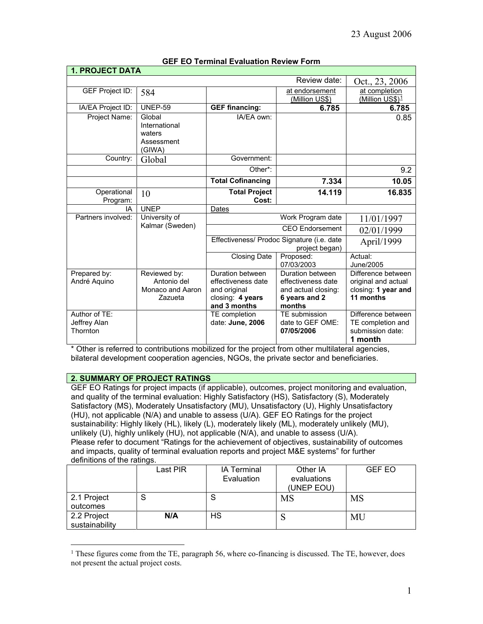| <b>1. PROJECT DATA</b>                    |                                                            |                                                                                            |                                                                                          |                                                                               |
|-------------------------------------------|------------------------------------------------------------|--------------------------------------------------------------------------------------------|------------------------------------------------------------------------------------------|-------------------------------------------------------------------------------|
|                                           |                                                            |                                                                                            | Review date:                                                                             | Oct., 23, 2006                                                                |
| GEF Project ID:                           | 584                                                        |                                                                                            | at endorsement<br>(Million US\$)                                                         | at completion<br>(Million US\$) <sup>1</sup>                                  |
| IA/EA Project ID:                         | <b>UNEP-59</b>                                             | <b>GEF financing:</b>                                                                      | 6.785                                                                                    | 6.785                                                                         |
| Project Name:                             | Global<br>International<br>waters<br>Assessment<br>(GIWA)  | IA/EA own:                                                                                 |                                                                                          | 0.85                                                                          |
| Country:                                  | Global                                                     | Government:                                                                                |                                                                                          |                                                                               |
|                                           |                                                            | Other*:                                                                                    |                                                                                          | 9.2                                                                           |
|                                           |                                                            | <b>Total Cofinancing</b>                                                                   | 7.334                                                                                    | 10.05                                                                         |
| Operational<br>Program:                   | 10                                                         | <b>Total Project</b><br>Cost:                                                              | 14.119                                                                                   | 16.835                                                                        |
| IA                                        | <b>UNEP</b>                                                | Dates                                                                                      |                                                                                          |                                                                               |
| Partners involved:                        | University of                                              |                                                                                            | Work Program date                                                                        | 11/01/1997                                                                    |
|                                           | Kalmar (Sweden)                                            |                                                                                            | <b>CEO</b> Endorsement                                                                   | 02/01/1999                                                                    |
|                                           |                                                            |                                                                                            | Effectiveness/ Prodoc Signature (i.e. date<br>project began)                             | April/1999                                                                    |
|                                           |                                                            | <b>Closing Date</b>                                                                        | Proposed:<br>07/03/2003                                                                  | Actual:<br>June/2005                                                          |
| Prepared by:<br>André Aquino              | Reviewed by:<br>Antonio del<br>Monaco and Aaron<br>Zazueta | Duration between<br>effectiveness date<br>and original<br>closing: 4 years<br>and 3 months | Duration between<br>effectiveness date<br>and actual closing:<br>6 years and 2<br>months | Difference between<br>original and actual<br>closing: 1 year and<br>11 months |
| Author of TE:<br>Jeffrey Alan<br>Thornton |                                                            | TE completion<br>date: June, 2006                                                          | TE submission<br>date to GEF OME:<br>07/05/2006                                          | Difference between<br>TE completion and<br>submission date:<br>1 month        |

## **GEF EO Terminal Evaluation Review Form**

\* Other is referred to contributions mobilized for the project from other multilateral agencies, bilateral development cooperation agencies, NGOs, the private sector and beneficiaries.

## **2. SUMMARY OF PROJECT RATINGS**

 $\overline{a}$ 

GEF EO Ratings for project impacts (if applicable), outcomes, project monitoring and evaluation, and quality of the terminal evaluation: Highly Satisfactory (HS), Satisfactory (S), Moderately Satisfactory (MS), Moderately Unsatisfactory (MU), Unsatisfactory (U), Highly Unsatisfactory (HU), not applicable (N/A) and unable to assess (U/A). GEF EO Ratings for the project sustainability: Highly likely (HL), likely (L), moderately likely (ML), moderately unlikely (MU), unlikely (U), highly unlikely (HU), not applicable (N/A), and unable to assess (U/A). Please refer to document "Ratings for the achievement of objectives, sustainability of outcomes and impacts, quality of terminal evaluation reports and project M&E systems" for further definitions of the ratings.

|                               | Last PIR | <b>IA Terminal</b><br>Evaluation | Other IA<br>evaluations<br>(UNEP EOU) | <b>GEF EO</b> |
|-------------------------------|----------|----------------------------------|---------------------------------------|---------------|
| 2.1 Project<br>outcomes       | S        |                                  | <b>MS</b>                             | <b>MS</b>     |
| 2.2 Project<br>sustainability | N/A      | <b>HS</b>                        |                                       | MU            |

<span id="page-0-0"></span> $1$  These figures come from the TE, paragraph 56, where co-financing is discussed. The TE, however, does not present the actual project costs.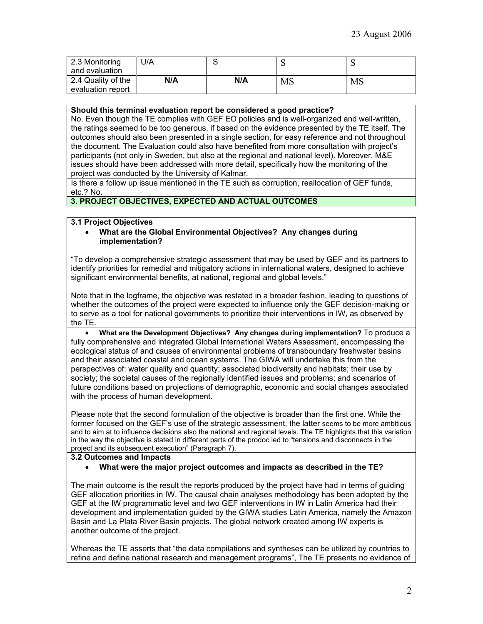| 2.3 Monitoring<br>and evaluation        | J/A |     | ◡         |    |
|-----------------------------------------|-----|-----|-----------|----|
| 2.4 Quality of the<br>evaluation report | N/A | N/A | <b>MS</b> | MS |

**Should this terminal evaluation report be considered a good practice?** 

No. Even though the TE complies with GEF EO policies and is well-organized and well-written, the ratings seemed to be too generous, if based on the evidence presented by the TE itself. The outcomes should also been presented in a single section, for easy reference and not throughout the document. The Evaluation could also have benefited from more consultation with project's participants (not only in Sweden, but also at the regional and national level). Moreover, M&E issues should have been addressed with more detail, specifically how the monitoring of the project was conducted by the University of Kalmar.

Is there a follow up issue mentioned in the TE such as corruption, reallocation of GEF funds, etc.? No.

## **3. PROJECT OBJECTIVES, EXPECTED AND ACTUAL OUTCOMES**

### **3.1 Project Objectives**

#### • **What are the Global Environmental Objectives? Any changes during implementation?**

"To develop a comprehensive strategic assessment that may be used by GEF and its partners to identify priorities for remedial and mitigatory actions in international waters, designed to achieve significant environmental benefits, at national, regional and global levels."

Note that in the logframe, the objective was restated in a broader fashion, leading to questions of whether the outcomes of the project were expected to influence only the GEF decision-making or to serve as a tool for national governments to prioritize their interventions in IW, as observed by the TE.

• **What are the Development Objectives? Any changes during implementation?** To produce a fully comprehensive and integrated Global International Waters Assessment, encompassing the ecological status of and causes of environmental problems of transboundary freshwater basins and their associated coastal and ocean systems. The GIWA will undertake this from the perspectives of: water quality and quantity; associated biodiversity and habitats; their use by society; the societal causes of the regionally identified issues and problems; and scenarios of future conditions based on projections of demographic, economic and social changes associated with the process of human development.

Please note that the second formulation of the objective is broader than the first one. While the former focused on the GEF's use of the strategic assessment, the latter seems to be more ambitious and to aim at to influence decisions also the national and regional levels. The TE highlights that this variation in the way the objective is stated in different parts of the prodoc led to "tensions and disconnects in the project and its subsequent execution" (Paragraph 7).

#### **3.2 Outcomes and Impacts**

#### • **What were the major project outcomes and impacts as described in the TE?**

The main outcome is the result the reports produced by the project have had in terms of guiding GEF allocation priorities in IW. The causal chain analyses methodology has been adopted by the GEF at the IW programmatic level and two GEF interventions in IW in Latin America had their development and implementation guided by the GIWA studies Latin America, namely the Amazon Basin and La Plata River Basin projects. The global network created among IW experts is another outcome of the project.

Whereas the TE asserts that "the data compilations and syntheses can be utilized by countries to refine and define national research and management programs", The TE presents no evidence of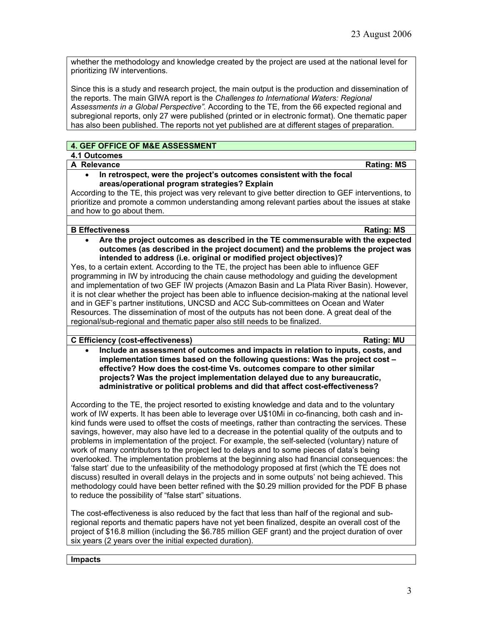whether the methodology and knowledge created by the project are used at the national level for prioritizing IW interventions.

Since this is a study and research project, the main output is the production and dissemination of the reports. The main GIWA report is the *Challenges to International Waters: Regional Assessments in a Global Perspective".* According to the TE, from the 66 expected regional and subregional reports, only 27 were published (printed or in electronic format). One thematic paper has also been published. The reports not yet published are at different stages of preparation.

## **4. GEF OFFICE OF M&E ASSESSMENT**

# **4.1 Outcomes**

## **A Relevance Rating: MS**

#### • **In retrospect, were the project's outcomes consistent with the focal areas/operational program strategies? Explain**

According to the TE, this project was very relevant to give better direction to GEF interventions, to prioritize and promote a common understanding among relevant parties about the issues at stake and how to go about them.

### **B Effectiveness** Rating: MS

• **Are the project outcomes as described in the TE commensurable with the expected outcomes (as described in the project document) and the problems the project was intended to address (i.e. original or modified project objectives)?** 

Yes, to a certain extent. According to the TE, the project has been able to influence GEF programming in IW by introducing the chain cause methodology and guiding the development and implementation of two GEF IW projects (Amazon Basin and La Plata River Basin). However, it is not clear whether the project has been able to influence decision-making at the national level and in GEF's partner institutions, UNCSD and ACC Sub-committees on Ocean and Water Resources. The dissemination of most of the outputs has not been done. A great deal of the regional/sub-regional and thematic paper also still needs to be finalized.

## **C Efficiency (cost-effectiveness) Rating: MU**

• **Include an assessment of outcomes and impacts in relation to inputs, costs, and implementation times based on the following questions: Was the project cost – effective? How does the cost-time Vs. outcomes compare to other similar projects? Was the project implementation delayed due to any bureaucratic, administrative or political problems and did that affect cost-effectiveness?** 

According to the TE, the project resorted to existing knowledge and data and to the voluntary work of IW experts. It has been able to leverage over U\$10Mi in co-financing, both cash and inkind funds were used to offset the costs of meetings, rather than contracting the services. These savings, however, may also have led to a decrease in the potential quality of the outputs and to problems in implementation of the project. For example, the self-selected (voluntary) nature of work of many contributors to the project led to delays and to some pieces of data's being overlooked. The implementation problems at the beginning also had financial consequences: the 'false start' due to the unfeasibility of the methodology proposed at first (which the TE does not discuss) resulted in overall delays in the projects and in some outputs' not being achieved. This methodology could have been better refined with the \$0.29 million provided for the PDF B phase to reduce the possibility of "false start" situations.

The cost-effectiveness is also reduced by the fact that less than half of the regional and subregional reports and thematic papers have not yet been finalized, despite an overall cost of the project of \$16.8 million (including the \$6.785 million GEF grant) and the project duration of over six years (2 years over the initial expected duration).

#### **Impacts**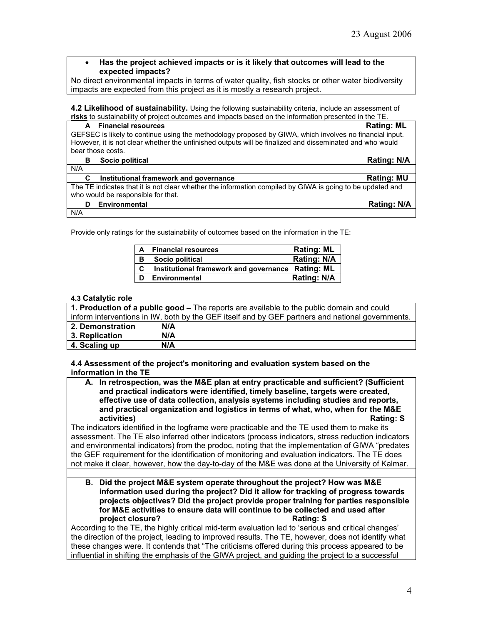• **Has the project achieved impacts or is it likely that outcomes will lead to the expected impacts?**

No direct environmental impacts in terms of water quality, fish stocks or other water biodiversity impacts are expected from this project as it is mostly a research project.

**4.2 Likelihood of sustainability.** Using the following sustainability criteria, include an assessment of **risks** to sustainability of project outcomes and impacts based on the information presented in the TE.

| <b>Financial resources</b><br>A             | <b>Rating: ML</b>                                                                                         |
|---------------------------------------------|-----------------------------------------------------------------------------------------------------------|
|                                             | GEFSEC is likely to continue using the methodology proposed by GIWA, which involves no financial input.   |
|                                             | However, it is not clear whether the unfinished outputs will be finalized and disseminated and who would  |
| bear those costs.                           |                                                                                                           |
| Socio political<br>в                        | <b>Rating: N/A</b>                                                                                        |
| N/A                                         |                                                                                                           |
| Institutional framework and governance<br>С | <b>Rating: MU</b>                                                                                         |
|                                             | The TE indicates that it is not clear whether the information compiled by GIWA is going to be updated and |
| who would be responsible for that.          |                                                                                                           |
| <b>Environmental</b><br>D                   | Rating: N/A                                                                                               |
| N/A                                         |                                                                                                           |

Provide only ratings for the sustainability of outcomes based on the information in the TE:

| $\mathsf{A}$ | <b>Financial resources</b>                        | <b>Rating: ML</b>  |
|--------------|---------------------------------------------------|--------------------|
| В            | Socio political                                   | Rating: N/A        |
| C            | Institutional framework and governance Rating: ML |                    |
| D            | <b>Environmental</b>                              | <b>Rating: N/A</b> |

#### **4.3 Catalytic role**

| 1. Production of a public good – The reports are available to the public domain and could        |     |  |  |  |
|--------------------------------------------------------------------------------------------------|-----|--|--|--|
| inform interventions in IW, both by the GEF itself and by GEF partners and national governments. |     |  |  |  |
| 2. Demonstration                                                                                 | N/A |  |  |  |
| 3. Replication                                                                                   | N/A |  |  |  |
| 4. Scaling up                                                                                    | N/A |  |  |  |

**4.4 Assessment of the project's monitoring and evaluation system based on the information in the TE** 

**A. In retrospection, was the M&E plan at entry practicable and sufficient? (Sufficient and practical indicators were identified, timely baseline, targets were created, effective use of data collection, analysis systems including studies and reports, and practical organization and logistics in terms of what, who, when for the M&E activities) Rating: S** 

The indicators identified in the logframe were practicable and the TE used them to make its assessment. The TE also inferred other indicators (process indicators, stress reduction indicators and environmental indicators) from the prodoc, noting that the implementation of GIWA "predates the GEF requirement for the identification of monitoring and evaluation indicators. The TE does not make it clear, however, how the day-to-day of the M&E was done at the University of Kalmar.

**B. Did the project M&E system operate throughout the project? How was M&E information used during the project? Did it allow for tracking of progress towards projects objectives? Did the project provide proper training for parties responsible for M&E activities to ensure data will continue to be collected and used after project closure?** 

According to the TE, the highly critical mid-term evaluation led to 'serious and critical changes' the direction of the project, leading to improved results. The TE, however, does not identify what these changes were. It contends that "The criticisms offered during this process appeared to be influential in shifting the emphasis of the GIWA project, and guiding the project to a successful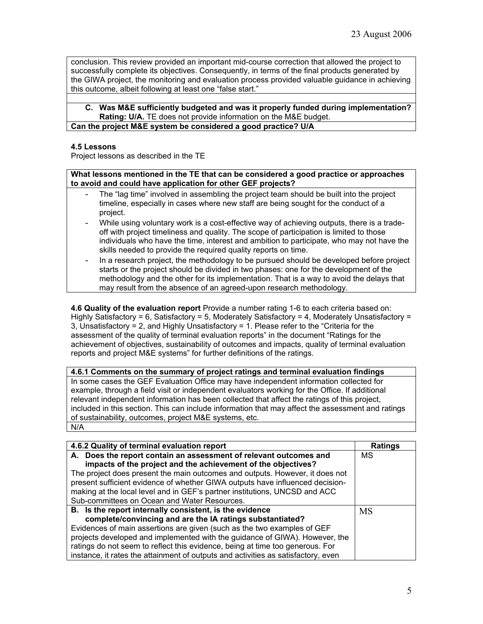conclusion. This review provided an important mid-course correction that allowed the project to successfully complete its objectives. Consequently, in terms of the final products generated by the GIWA project, the monitoring and evaluation process provided valuable guidance in achieving this outcome, albeit following at least one "false start."

## **C. Was M&E sufficiently budgeted and was it properly funded during implementation? Rating: U/A.** TE does not provide information on the M&E budget.

## **Can the project M&E system be considered a good practice? U/A**

## **4.5 Lessons**

Project lessons as described in the TE

**What lessons mentioned in the TE that can be considered a good practice or approaches to avoid and could have application for other GEF projects?**

- The "lag time" involved in assembling the project team should be built into the project timeline, especially in cases where new staff are being sought for the conduct of a project.
- While using voluntary work is a cost-effective way of achieving outputs, there is a tradeoff with project timeliness and quality. The scope of participation is limited to those individuals who have the time, interest and ambition to participate, who may not have the skills needed to provide the required quality reports on time.
- In a research project, the methodology to be pursued should be developed before project starts or the project should be divided in two phases: one for the development of the methodology and the other for its implementation. That is a way to avoid the delays that may result from the absence of an agreed-upon research methodology.

**4.6 Quality of the evaluation report** Provide a number rating 1-6 to each criteria based on: Highly Satisfactory = 6, Satisfactory = 5, Moderately Satisfactory = 4, Moderately Unsatisfactory = 3, Unsatisfactory = 2, and Highly Unsatisfactory = 1. Please refer to the "Criteria for the assessment of the quality of terminal evaluation reports" in the document "Ratings for the achievement of objectives, sustainability of outcomes and impacts, quality of terminal evaluation reports and project M&E systems" for further definitions of the ratings.

**4.6.1 Comments on the summary of project ratings and terminal evaluation findings** In some cases the GEF Evaluation Office may have independent information collected for example, through a field visit or independent evaluators working for the Office. If additional relevant independent information has been collected that affect the ratings of this project, included in this section. This can include information that may affect the assessment and ratings of sustainability, outcomes, project M&E systems, etc. N/A

| 4.6.2 Quality of terminal evaluation report                                       | <b>Ratings</b> |
|-----------------------------------------------------------------------------------|----------------|
| A. Does the report contain an assessment of relevant outcomes and                 | MS             |
| impacts of the project and the achievement of the objectives?                     |                |
| The project does present the main outcomes and outputs. However, it does not      |                |
| present sufficient evidence of whether GIWA outputs have influenced decision-     |                |
| making at the local level and in GEF's partner institutions, UNCSD and ACC        |                |
| Sub-committees on Ocean and Water Resources.                                      |                |
| B. Is the report internally consistent, is the evidence                           | <b>MS</b>      |
| complete/convincing and are the IA ratings substantiated?                         |                |
| Evidences of main assertions are given (such as the two examples of GEF           |                |
| projects developed and implemented with the guidance of GIWA). However, the       |                |
| ratings do not seem to reflect this evidence, being at time too generous. For     |                |
| instance, it rates the attainment of outputs and activities as satisfactory, even |                |